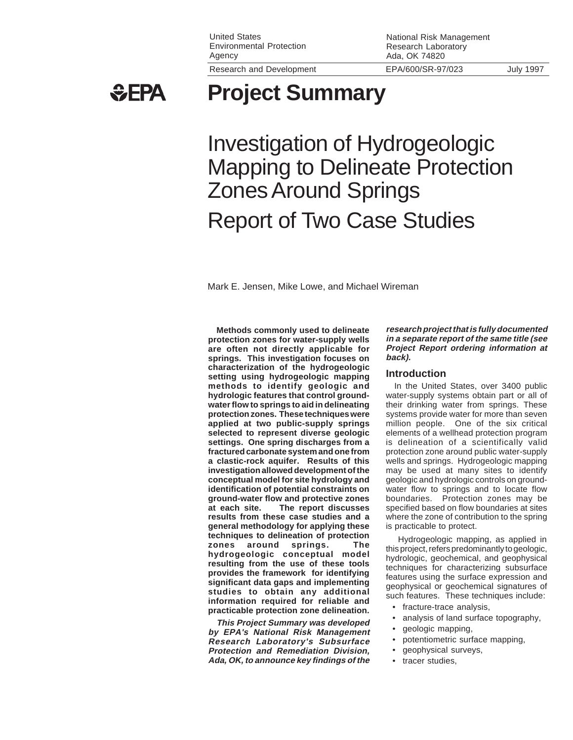United States Environmental Protection Agency

**GEPA** 

**Project Summary**

Investigation of Hydrogeologic **Mapping to Delineate Protection** Zones Around Springs Report of Two Case Studies

Mark E. Jensen, Mike Lowe, and Michael Wireman

**Methods commonly used to delineate protection zones for water-supply wells are often not directly applicable for springs. This investigation focuses on characterization of the hydrogeologic setting using hydrogeologic mapping methods to identify geologic and hydrologic features that control groundwater flow to springs to aid in delineating protection zones. These techniques were applied at two public-supply springs selected to represent diverse geologic settings. One spring discharges from a fractured carbonate system and one from a clastic-rock aquifer. Results of this investigation allowed development of the conceptual model for site hydrology and identification of potential constraints on ground-water flow and protective zones at each site. The report discusses results from these case studies and a general methodology for applying these techniques to delineation of protection zones around springs. The hydrogeologic conceptual model resulting from the use of these tools provides the framework for identifying significant data gaps and implementing studies to obtain any additional information required for reliable and practicable protection zone delineation.**

**This Project Summary was developed by EPA's National Risk Management Research Laboratory's Subsurface Protection and Remediation Division, Ada, OK, to announce key findings of the**

**research project that is fully documented in a separate report of the same title (see Project Report ordering information at back).**

#### **Introduction**

National Risk Management Research Laboratory Ada, OK 74820

In the United States, over 3400 public water-supply systems obtain part or all of their drinking water from springs. These systems provide water for more than seven million people. One of the six critical elements of a wellhead protection program is delineation of a scientifically valid protection zone around public water-supply wells and springs. Hydrogeologic mapping may be used at many sites to identify geologic and hydrologic controls on groundwater flow to springs and to locate flow boundaries. Protection zones may be specified based on flow boundaries at sites where the zone of contribution to the spring is practicable to protect.

 Hydrogeologic mapping, as applied in this project, refers predominantly to geologic, hydrologic, geochemical, and geophysical techniques for characterizing subsurface features using the surface expression and geophysical or geochemical signatures of such features. These techniques include:

- fracture-trace analysis,
- analysis of land surface topography,
	- geologic mapping,
	- potentiometric surface mapping,
	- geophysical surveys,
	- tracer studies,

Research and Development EPA/600/SR-97/023 July 1997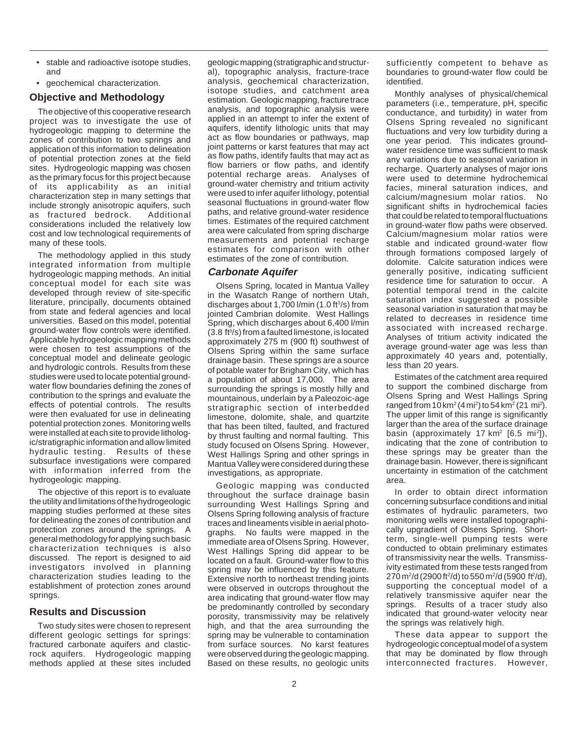- stable and radioactive isotope studies, and
- geochemical characterization.

### **Objective and Methodology**

The objective of this cooperative research project was to investigate the use of hydrogeologic mapping to determine the zones of contribution to two springs and application of this information to delineation of potential protection zones at the field sites. Hydrogeologic mapping was chosen as the primary focus for this project because of its applicability as an initial characterization step in many settings that include strongly anisotropic aquifers, such as fractured bedrock. Additional considerations included the relatively low cost and low technological requirements of many of these tools.

The methodology applied in this study integrated information from multiple hydrogeologic mapping methods. An initial conceptual model for each site was developed through review of site-specific literature, principally, documents obtained from state and federal agencies and local universities. Based on this model, potential ground-water flow controls were identified. Applicable hydrogeologic mapping methods were chosen to test assumptions of the conceptual model and delineate geologic and hydrologic controls. Results from these studies were used to locate potential groundwater flow boundaries defining the zones of contribution to the springs and evaluate the effects of potential controls. The results were then evaluated for use in delineating potential protection zones. Monitoring wells were installed at each site to provide lithologic/stratigraphic information and allow limited hydraulic testing. Results of these subsurface investigations were compared with information inferred from the hydrogeologic mapping.

The objective of this report is to evaluate the utility and limitations of the hydrogeologic mapping studies performed at these sites for delineating the zones of contribution and protection zones around the springs. A general methodology for applying such basic characterization techniques is also discussed. The report is designed to aid investigators involved in planning characterization studies leading to the establishment of protection zones around springs.

# **Results and Discussion**

Two study sites were chosen to represent different geologic settings for springs: fractured carbonate aquifers and clasticrock aquifers. Hydrogeologic mapping methods applied at these sites included

geologic mapping (stratigraphic and structural), topographic analysis, fracture-trace analysis, geochemical characterization, isotope studies, and catchment area estimation. Geologic mapping, fracture trace analysis, and topographic analysis were applied in an attempt to infer the extent of aquifers, identify lithologic units that may act as flow boundaries or pathways, map joint patterns or karst features that may act as flow paths, identify faults that may act as flow barriers or flow paths, and identify potential recharge areas. Analyses of ground-water chemistry and tritium activity were used to infer aquifer lithology, potential seasonal fluctuations in ground-water flow paths, and relative ground-water residence times. Estimates of the required catchment area were calculated from spring discharge measurements and potential recharge estimates for comparison with other estimates of the zone of contribution.

## **Carbonate Aquifer**

Olsens Spring, located in Mantua Valley in the Wasatch Range of northern Utah, discharges about  $1,700$  l/min (1.0 ft $3$ /s) from jointed Cambrian dolomite. West Hallings Spring, which discharges about 6,400 l/min  $(3.8 \text{ ft}^3/\text{s})$  from a faulted limestone, is located approximately 275 m (900 ft) southwest of Olsens Spring within the same surface drainage basin. These springs are a source of potable water for Brigham City, which has a population of about 17,000. The area surrounding the springs is mostly hilly and mountainous, underlain by a Paleozoic-age stratigraphic section of interbedded limestone, dolomite, shale, and quartzite that has been tilted, faulted, and fractured by thrust faulting and normal faulting. This study focused on Olsens Spring. However, West Hallings Spring and other springs in Mantua Valley were considered during these investigations, as appropriate.

Geologic mapping was conducted throughout the surface drainage basin surrounding West Hallings Spring and Olsens Spring following analysis of fracture traces and lineaments visible in aerial photographs. No faults were mapped in the immediate area of Olsens Spring. However, West Hallings Spring did appear to be located on a fault. Ground-water flow to this spring may be influenced by this feature. Extensive north to northeast trending joints were observed in outcrops throughout the area indicating that ground-water flow may be predominantly controlled by secondary porosity, transmissivity may be relatively high, and that the area surrounding the spring may be vulnerable to contamination from surface sources. No karst features were observed during the geologic mapping. Based on these results, no geologic units sufficiently competent to behave as boundaries to ground-water flow could be identified.

Monthly analyses of physical/chemical parameters (i.e., temperature, pH, specific conductance, and turbidity) in water from Olsens Spring revealed no significant fluctuations and very low turbidity during a one year period. This indicates groundwater residence time was sufficient to mask any variations due to seasonal variation in recharge. Quarterly analyses of major ions were used to determine hydrochemical facies, mineral saturation indices, and calcium/magnesium molar ratios. No significant shifts in hydrochemical facies that could be related to temporal fluctuations in ground-water flow paths were observed. Calcium/magnesium molar ratios were stable and indicated ground-water flow through formations composed largely of dolomite. Calcite saturation indices were generally positive, indicating sufficient residence time for saturation to occur. A potential temporal trend in the calcite saturation index suggested a possible seasonal variation in saturation that may be related to decreases in residence time associated with increased recharge. Analyses of tritium activity indicated the average ground-water age was less than approximately 40 years and, potentially, less than 20 years.

Estimates of the catchment area required to support the combined discharge from Olsens Spring and West Hallings Spring ranged from  $10 \,\mathrm{km^2}$  (4 mi<sup>2</sup>) to 54 km<sup>2</sup> (21 mi<sup>2</sup>). The upper limit of this range is significantly larger than the area of the surface drainage basin (approximately 17 km<sup>2</sup> [6.5 mi<sup>2</sup>]), indicating that the zone of contribution to these springs may be greater than the drainage basin. However, there is significant uncertainty in estimation of the catchment area.

In order to obtain direct information concerning subsurface conditions and initial estimates of hydraulic parameters, two monitoring wells were installed topographically upgradient of Olsens Spring. Shortterm, single-well pumping tests were conducted to obtain preliminary estimates of transmissivity near the wells. Transmissivity estimated from these tests ranged from  $270 \,\mathrm{m^2/d}$  (2900 ft<sup>2</sup>/d) to 550 m<sup>2</sup>/d (5900 ft<sup>2</sup>/d), supporting the conceptual model of a relatively transmissive aquifer near the springs. Results of a tracer study also indicated that ground-water velocity near the springs was relatively high.

These data appear to support the hydrogeologic conceptual model of a system that may be dominated by flow through interconnected fractures. However,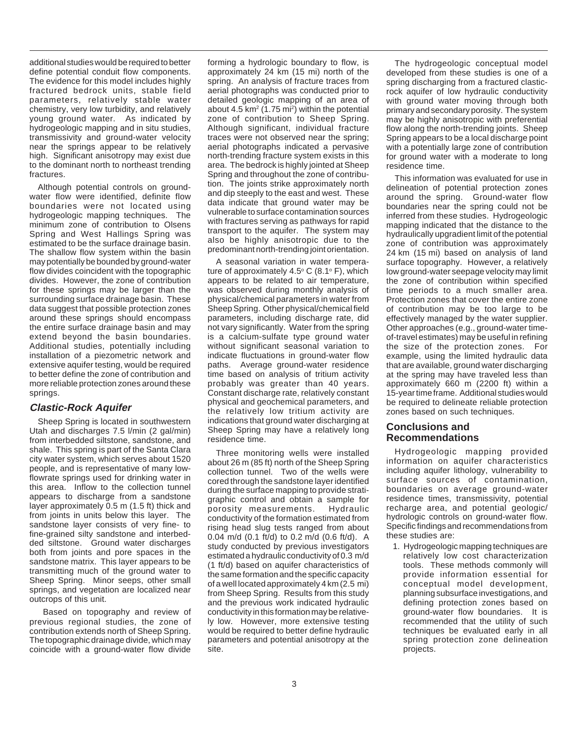additional studies would be required to better define potential conduit flow components. The evidence for this model includes highly fractured bedrock units, stable field parameters, relatively stable water chemistry, very low turbidity, and relatively young ground water. As indicated by hydrogeologic mapping and in situ studies, transmissivity and ground-water velocity near the springs appear to be relatively high. Significant anisotropy may exist due to the dominant north to northeast trending fractures.

Although potential controls on groundwater flow were identified, definite flow boundaries were not located using hydrogeologic mapping techniques. The minimum zone of contribution to Olsens Spring and West Hallings Spring was estimated to be the surface drainage basin. The shallow flow system within the basin may potentially be bounded by ground-water flow divides coincident with the topographic divides. However, the zone of contribution for these springs may be larger than the surrounding surface drainage basin. These data suggest that possible protection zones around these springs should encompass the entire surface drainage basin and may extend beyond the basin boundaries. Additional studies, potentially including installation of a piezometric network and extensive aquifer testing, would be required to better define the zone of contribution and more reliable protection zones around these springs.

# **Clastic-Rock Aquifer**

Sheep Spring is located in southwestern Utah and discharges 7.5 l/min (2 gal/min) from interbedded siltstone, sandstone, and shale. This spring is part of the Santa Clara city water system, which serves about 1520 people, and is representative of many lowflowrate springs used for drinking water in this area. Inflow to the collection tunnel appears to discharge from a sandstone layer approximately 0.5 m (1.5 ft) thick and from joints in units below this layer. The sandstone layer consists of very fine- to fine-grained silty sandstone and interbedded siltstone. Ground water discharges both from joints and pore spaces in the sandstone matrix. This layer appears to be transmitting much of the ground water to Sheep Spring. Minor seeps, other small springs, and vegetation are localized near outcrops of this unit.

 Based on topography and review of previous regional studies, the zone of contribution extends north of Sheep Spring. The topographic drainage divide, which may coincide with a ground-water flow divide

forming a hydrologic boundary to flow, is approximately 24 km (15 mi) north of the spring. An analysis of fracture traces from aerial photographs was conducted prior to detailed geologic mapping of an area of about 4.5 km<sup>2</sup> (1.75 mi<sup>2</sup>) within the potential zone of contribution to Sheep Spring. Although significant, individual fracture traces were not observed near the spring; aerial photographs indicated a pervasive north-trending fracture system exists in this area. The bedrock is highly jointed at Sheep Spring and throughout the zone of contribution. The joints strike approximately north and dip steeply to the east and west. These data indicate that ground water may be vulnerable to surface contamination sources with fractures serving as pathways for rapid transport to the aquifer. The system may also be highly anisotropic due to the predominant north-trending joint orientation.

A seasonal variation in water temperature of approximately  $4.5^{\circ}$  C (8.1 $^{\circ}$  F), which appears to be related to air temperature, was observed during monthly analysis of physical/chemical parameters in water from Sheep Spring. Other physical/chemical field parameters, including discharge rate, did not vary significantly. Water from the spring is a calcium-sulfate type ground water without significant seasonal variation to indicate fluctuations in ground-water flow paths. Average ground-water residence time based on analysis of tritium activity probably was greater than 40 years. Constant discharge rate, relatively constant physical and geochemical parameters, and the relatively low tritium activity are indications that ground water discharging at Sheep Spring may have a relatively long residence time.

Three monitoring wells were installed about 26 m (85 ft) north of the Sheep Spring collection tunnel. Two of the wells were cored through the sandstone layer identified during the surface mapping to provide stratigraphic control and obtain a sample for porosity measurements. Hydraulic conductivity of the formation estimated from rising head slug tests ranged from about 0.04 m/d (0.1 ft/d) to 0.2 m/d (0.6 ft/d). A study conducted by previous investigators estimated a hydraulic conductivity of 0.3 m/d (1 ft/d) based on aquifer characteristics of the same formation and the specific capacity of a well located approximately 4 km (2.5 mi) from Sheep Spring. Results from this study and the previous work indicated hydraulic conductivity in this formation may be relatively low. However, more extensive testing would be required to better define hydraulic parameters and potential anisotropy at the site.

The hydrogeologic conceptual model developed from these studies is one of a spring discharging from a fractured clasticrock aquifer of low hydraulic conductivity with ground water moving through both primary and secondary porosity. The system may be highly anisotropic with preferential flow along the north-trending joints. Sheep Spring appears to be a local discharge point with a potentially large zone of contribution for ground water with a moderate to long residence time.

This information was evaluated for use in delineation of potential protection zones around the spring. Ground-water flow boundaries near the spring could not be inferred from these studies. Hydrogeologic mapping indicated that the distance to the hydraulically upgradient limit of the potential zone of contribution was approximately 24 km (15 mi) based on analysis of land surface topography. However, a relatively low ground-water seepage velocity may limit the zone of contribution within specified time periods to a much smaller area. Protection zones that cover the entire zone of contribution may be too large to be effectively managed by the water supplier. Other approaches (e.g., ground-water timeof-travel estimates) may be useful in refining the size of the protection zones. For example, using the limited hydraulic data that are available, ground water discharging at the spring may have traveled less than approximately 660 m (2200 ft) within a 15-year time frame. Additional studies would be required to delineate reliable protection zones based on such techniques.

#### **Conclusions and Recommendations**

Hydrogeologic mapping provided information on aquifer characteristics including aquifer lithology, vulnerability to surface sources of contamination, boundaries on average ground-water residence times, transmissivity, potential recharge area, and potential geologic/ hydrologic controls on ground-water flow. Specific findings and recommendations from these studies are:

1. Hydrogeologic mapping techniques are relatively low cost characterization tools. These methods commonly will provide information essential for conceptual model development, planning subsurface investigations, and defining protection zones based on ground-water flow boundaries. It is recommended that the utility of such techniques be evaluated early in all spring protection zone delineation projects.